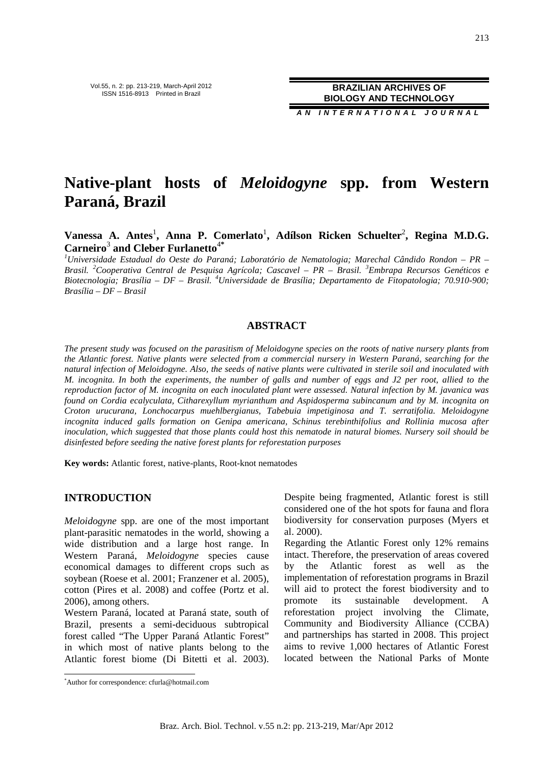**BRAZILIAN ARCHIVES OF BIOLOGY AND TECHNOLOGY**

**A N I N T E R N A T I O N A L J O U R N A L**

# **Native-plant hosts of** *Meloidogyne* **spp. from Western Paraná, Brazil**

Vanessa A. Antes<sup>1</sup>, Anna P. Comerlato<sup>1</sup>, Adílson Ricken Schuelter<sup>2</sup>, Regina M.D.G. **Carneiro**<sup>3</sup>  **and Cleber Furlanetto**<sup>4</sup>**\*** 

*<sup>1</sup>Universidade Estadual do Oeste do Paraná; Laboratório de Nematologia; Marechal Cândido Rondon – PR – Brasil. <sup>2</sup>Cooperativa Central de Pesquisa Agrícola; Cascavel – PR – Brasil. <sup>3</sup>Embrapa Recursos Genéticos e Biotecnologia; Brasília – DF – Brasil. <sup>4</sup>Universidade de Brasília; Departamento de Fitopatologia; 70.910-900; Brasília – DF – Brasil* 

#### **ABSTRACT**

*The present study was focused on the parasitism of Meloidogyne species on the roots of native nursery plants from the Atlantic forest. Native plants were selected from a commercial nursery in Western Paraná, searching for the natural infection of Meloidogyne. Also, the seeds of native plants were cultivated in sterile soil and inoculated with M. incognita. In both the experiments, the number of galls and number of eggs and J2 per root, allied to the reproduction factor of M. incognita on each inoculated plant were assessed. Natural infection by M. javanica was found on Cordia ecalyculata, Citharexyllum myrianthum and Aspidosperma subincanum and by M. incognita on Croton urucurana, Lonchocarpus muehlbergianus, Tabebuia impetiginosa and T. serratifolia. Meloidogyne incognita induced galls formation on Genipa americana, Schinus terebinthifolius and Rollinia mucosa after inoculation, which suggested that those plants could host this nematode in natural biomes. Nursery soil should be disinfested before seeding the native forest plants for reforestation purposes* 

**Key words:** Atlantic forest, native-plants, Root-knot nematodes

#### **INTRODUCTION**

*Meloidogyne* spp. are one of the most important plant-parasitic nematodes in the world, showing a wide distribution and a large host range. In Western Paraná, *Meloidogyne* species cause economical damages to different crops such as soybean (Roese et al. 2001; Franzener et al. 2005), cotton (Pires et al. 2008) and coffee (Portz et al. 2006), among others.

Western Paraná, located at Paraná state, south of Brazil, presents a semi-deciduous subtropical forest called "The Upper Paraná Atlantic Forest" in which most of native plants belong to the Atlantic forest biome (Di Bitetti et al. 2003). Regarding the Atlantic Forest only 12% remains intact. Therefore, the preservation of areas covered by the Atlantic forest as well as the implementation of reforestation programs in Brazil will aid to protect the forest biodiversity and to promote its sustainable development. A reforestation project involving the Climate, Community and Biodiversity Alliance (CCBA) and partnerships has started in 2008. This project aims to revive 1,000 hectares of Atlantic Forest located between the National Parks of Monte

 $\overline{a}$ 

Despite being fragmented, Atlantic forest is still considered one of the hot spots for fauna and flora biodiversity for conservation purposes (Myers et al. 2000).

<sup>\*</sup>Author for correspondence: cfurla@hotmail.com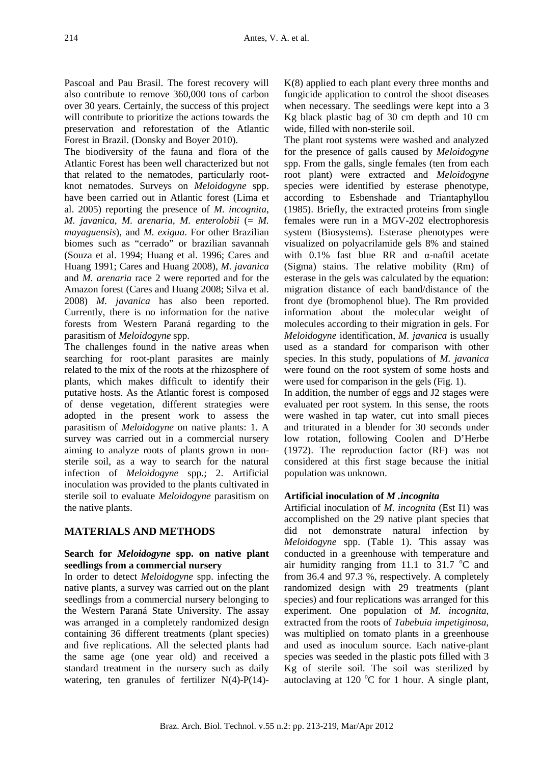Pascoal and Pau Brasil. The forest recovery will also contribute to remove 360,000 tons of carbon over 30 years. Certainly, the success of this project will contribute to prioritize the actions towards the preservation and reforestation of the Atlantic Forest in Brazil. (Donsky and Boyer 2010).

The biodiversity of the fauna and flora of the Atlantic Forest has been well characterized but not that related to the nematodes, particularly rootknot nematodes. Surveys on *Meloidogyne* spp. have been carried out in Atlantic forest (Lima et al. 2005) reporting the presence of *M. incognita*, *M. javanica*, *M. arenaria, M. enterolobii* (= *M. mayaguensis*)*,* and *M. exigua*. For other Brazilian biomes such as "cerrado" or brazilian savannah (Souza et al. 1994; Huang et al. 1996; Cares and Huang 1991; Cares and Huang 2008), *M. javanica*  and *M. arenaria* race 2 were reported and for the Amazon forest (Cares and Huang 2008; Silva et al. 2008) *M. javanica* has also been reported. Currently, there is no information for the native forests from Western Paraná regarding to the parasitism of *Meloidogyne* spp.

The challenges found in the native areas when searching for root-plant parasites are mainly related to the mix of the roots at the rhizosphere of plants, which makes difficult to identify their putative hosts. As the Atlantic forest is composed of dense vegetation, different strategies were adopted in the present work to assess the parasitism of *Meloidogyne* on native plants: 1. A survey was carried out in a commercial nursery aiming to analyze roots of plants grown in nonsterile soil, as a way to search for the natural infection of *Meloidogyne* spp.; 2. Artificial inoculation was provided to the plants cultivated in sterile soil to evaluate *Meloidogyne* parasitism on the native plants.

# **MATERIALS AND METHODS**

# **Search for** *Meloidogyne* **spp. on native plant seedlings from a commercial nursery**

In order to detect *Meloidogyne* spp. infecting the native plants, a survey was carried out on the plant seedlings from a commercial nursery belonging to the Western Paraná State University. The assay was arranged in a completely randomized design containing 36 different treatments (plant species) and five replications. All the selected plants had the same age (one year old) and received a standard treatment in the nursery such as daily watering, ten granules of fertilizer N(4)-P(14)- K(8) applied to each plant every three months and fungicide application to control the shoot diseases when necessary. The seedlings were kept into a 3 Kg black plastic bag of 30 cm depth and 10 cm wide, filled with non-sterile soil.

The plant root systems were washed and analyzed for the presence of galls caused by *Meloidogyne* spp. From the galls, single females (ten from each root plant) were extracted and *Meloidogyne* species were identified by esterase phenotype, according to Esbenshade and Triantaphyllou (1985). Briefly, the extracted proteins from single females were run in a MGV-202 electrophoresis system (Biosystems). Esterase phenotypes were visualized on polyacrilamide gels 8% and stained with  $0.1\%$  fast blue RR and  $\alpha$ -naftil acetate (Sigma) stains. The relative mobility (Rm) of esterase in the gels was calculated by the equation: migration distance of each band/distance of the front dye (bromophenol blue). The Rm provided information about the molecular weight of molecules according to their migration in gels. For *Meloidogyne* identification, *M. javanica* is usually used as a standard for comparison with other species. In this study, populations of *M. javanica* were found on the root system of some hosts and were used for comparison in the gels (Fig. 1).

In addition, the number of eggs and J2 stages were evaluated per root system. In this sense, the roots were washed in tap water, cut into small pieces and triturated in a blender for 30 seconds under low rotation, following Coolen and D'Herbe (1972). The reproduction factor (RF) was not considered at this first stage because the initial population was unknown.

# **Artificial inoculation of** *M .incognita*

Artificial inoculation of *M. incognita* (Est I1) was accomplished on the 29 native plant species that did not demonstrate natural infection by *Meloidogyne* spp. (Table 1). This assay was conducted in a greenhouse with temperature and air humidity ranging from 11.1 to  $31.7 \text{ °C}$  and from 36.4 and 97.3 %, respectively. A completely randomized design with 29 treatments (plant species) and four replications was arranged for this experiment. One population of *M. incognita*, extracted from the roots of *Tabebuia impetiginosa*, was multiplied on tomato plants in a greenhouse and used as inoculum source. Each native-plant species was seeded in the plastic pots filled with 3 Kg of sterile soil. The soil was sterilized by autoclaving at 120  $\rm{^{\circ}C}$  for 1 hour. A single plant,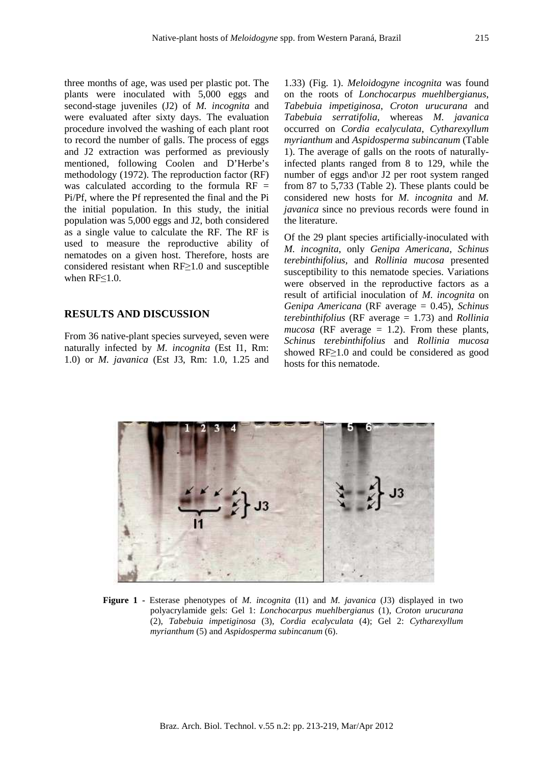three months of age, was used per plastic pot. The plants were inoculated with 5,000 eggs and second-stage juveniles (J2) of *M. incognita* and were evaluated after sixty days. The evaluation procedure involved the washing of each plant root to record the number of galls. The process of eggs and J2 extraction was performed as previously mentioned, following Coolen and D'Herbe's methodology (1972). The reproduction factor (RF) was calculated according to the formula  $RF =$ Pi/Pf, where the Pf represented the final and the Pi the initial population. In this study, the initial population was 5,000 eggs and J2, both considered as a single value to calculate the RF. The RF is used to measure the reproductive ability of nematodes on a given host. Therefore, hosts are considered resistant when RF≥1.0 and susceptible when  $RF \leq 1.0$ .

#### **RESULTS AND DISCUSSION**

From 36 native-plant species surveyed, seven were naturally infected by *M. incognita* (Est I1, Rm: 1.0) or *M. javanica* (Est J3, Rm: 1.0, 1.25 and

1.33) (Fig. 1). *Meloidogyne incognita* was found on the roots of *Lonchocarpus muehlbergianus*, *Tabebuia impetiginosa*, *Croton urucurana* and *Tabebuia serratifolia*, whereas *M. javanica* occurred on *Cordia ecalyculata*, *Cytharexyllum myrianthum* and *Aspidosperma subincanum* (Table 1). The average of galls on the roots of naturallyinfected plants ranged from 8 to 129, while the number of eggs and\or J2 per root system ranged from 87 to 5,733 (Table 2). These plants could be considered new hosts for *M. incognita* and *M. javanica* since no previous records were found in the literature.

Of the 29 plant species artificially-inoculated with *M. incognita*, only *Genipa Americana*, *Schinus terebinthifolius,* and *Rollinia mucosa* presented susceptibility to this nematode species. Variations were observed in the reproductive factors as a result of artificial inoculation of *M. incognita* on *Genipa Americana* (RF average = 0.45), *Schinus terebinthifolius* (RF average = 1.73) and *Rollinia mucosa* (RF average  $= 1.2$ ). From these plants, *Schinus terebinthifolius* and *Rollinia mucosa* showed RF≥1.0 and could be considered as good hosts for this nematode.



**Figure 1 -** Esterase phenotypes of *M. incognita* (I1) and *M. javanica* (J3) displayed in two polyacrylamide gels: Gel 1: *Lonchocarpus muehlbergianus* (1), *Croton urucurana* (2), *Tabebuia impetiginosa* (3), *Cordia ecalyculata* (4); Gel 2: *Cytharexyllum myrianthum* (5) and *Aspidosperma subincanum* (6).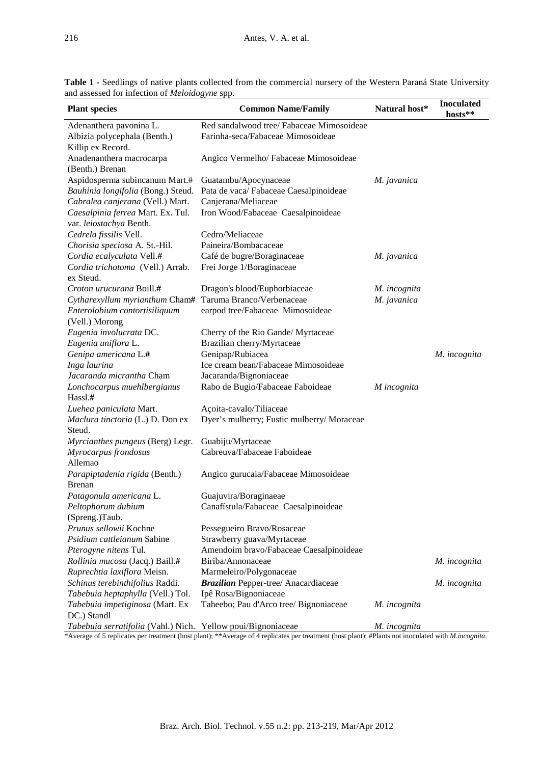| <b>Plant species</b>                                         | <b>Common Name/Family</b>                                  | Natural host* | <b>Inoculated</b><br>hosts** |
|--------------------------------------------------------------|------------------------------------------------------------|---------------|------------------------------|
| Adenanthera pavonina L.                                      | Red sandalwood tree/ Fabaceae Mimosoideae                  |               |                              |
| Albizia polycephala (Benth.)                                 | Farinha-seca/Fabaceae Mimosoideae                          |               |                              |
| Killip ex Record.                                            |                                                            |               |                              |
| Anadenanthera macrocarpa                                     | Angico Vermelho/ Fabaceae Mimosoideae                      |               |                              |
| (Benth.) Brenan                                              |                                                            |               |                              |
| Aspidosperma subincanum Mart.#                               | Guatambu/Apocynaceae                                       | M. javanica   |                              |
| Bauhinia longifolia (Bong.) Steud.                           | Pata de vaca/ Fabaceae Caesalpinoideae                     |               |                              |
| Cabralea canjerana (Vell.) Mart.                             | Canjerana/Meliaceae                                        |               |                              |
| Caesalpinia ferrea Mart. Ex. Tul.                            | Iron Wood/Fabaceae Caesalpinoideae                         |               |                              |
| var. leiostachya Benth.                                      |                                                            |               |                              |
| Cedrela fissilis Vell.                                       | Cedro/Meliaceae                                            |               |                              |
| Chorisia speciosa A. St.-Hil.                                | Paineira/Bombacaceae                                       |               |                              |
| Cordia ecalyculata Vell.#                                    | Café de bugre/Boraginaceae                                 | M. javanica   |                              |
| Cordia trichotoma (Vell.) Arrab.                             | Frei Jorge 1/Boraginaceae                                  |               |                              |
| ex Steud.                                                    |                                                            |               |                              |
| Croton urucurana Boill.#                                     | Dragon's blood/Euphorbiaceae                               | M. incognita  |                              |
| Cytharexyllum myrianthum Cham# Taruma Branco/Verbenaceae     |                                                            | M. javanica   |                              |
| Enterolobium contortisiliquum                                | earpod tree/Fabaceae Mimosoideae                           |               |                              |
| (Vell.) Morong                                               |                                                            |               |                              |
| Eugenia involucrata DC.                                      | Cherry of the Rio Gande/ Myrtaceae                         |               |                              |
| Eugenia uniflora L.                                          | Brazilian cherry/Myrtaceae                                 |               |                              |
| Genipa americana L.#                                         | Genipap/Rubiacea                                           |               | M. incognita                 |
| Inga laurina<br>Jacaranda micrantha Cham                     | Ice cream bean/Fabaceae Mimosoideae                        |               |                              |
|                                                              | Jacaranda/Bignoniaceae<br>Rabo de Bugio/Fabaceae Faboideae | M incognita   |                              |
| Lonchocarpus muehlbergianus<br>Hassl.#                       |                                                            |               |                              |
| Luehea paniculata Mart.                                      | Açoita-cavalo/Tiliaceae                                    |               |                              |
| Maclura tinctoria (L.) D. Don ex                             | Dyer's mulberry; Fustic mulberry/ Moraceae                 |               |                              |
| Steud.                                                       |                                                            |               |                              |
| Myrcianthes pungeus (Berg) Legr.                             | Guabiju/Myrtaceae                                          |               |                              |
| Myrocarpus frondosus                                         | Cabreuva/Fabaceae Faboideae                                |               |                              |
| Allemao                                                      |                                                            |               |                              |
| Parapiptadenia rigida (Benth.)                               | Angico gurucaia/Fabaceae Mimosoideae                       |               |                              |
| <b>Brenan</b>                                                |                                                            |               |                              |
| Patagonula americana L.                                      | Guajuvira/Boraginaeae                                      |               |                              |
| Peltophorum dubium                                           | Canafístula/Fabaceae Caesalpinoideae                       |               |                              |
| (Spreng.)Taub.                                               |                                                            |               |                              |
| Prunus sellowii Kochne                                       | Pessegueiro Bravo/Rosaceae                                 |               |                              |
| Psidium cattleianum Sabine                                   | Strawberry guava/Myrtaceae                                 |               |                              |
| Pterogyne nitens Tul.                                        | Amendoim bravo/Fabaceae Caesalpinoideae                    |               |                              |
| Rollinia mucosa (Jacq.) Baill.#                              | Biriba/Annonaceae                                          |               | M. incognita                 |
| Ruprechtia laxiflora Meisn.                                  | Marmeleiro/Polygonaceae                                    |               |                              |
| Schinus terebinthifolius Raddi.                              | Brazilian Pepper-tree/ Anacardiaceae                       |               | M. incognita                 |
| Tabebuia heptaphylla (Vell.) Tol.                            | Ipê Rosa/Bignoniaceae                                      |               |                              |
| Tabebuia impetiginosa (Mart. Ex<br>DC.) Standl               | Taheebo; Pau d'Arco tree/ Bignoniaceae                     | M. incognita  |                              |
| Tabebuia serratifolia (Vahl.) Nich. Yellow poui/Bignoniaceae |                                                            | M. incognita  |                              |
|                                                              |                                                            |               |                              |

**Table 1 -** Seedlings of native plants collected from the commercial nursery of the Western Paraná State University and assessed for infection of *Meloidogyne* spp.

\*Average of 5 replicates per treatment (host plant); \*\*Average of 4 replicates per treatment (host plant); #Plants not inoculated with *M.incognita*.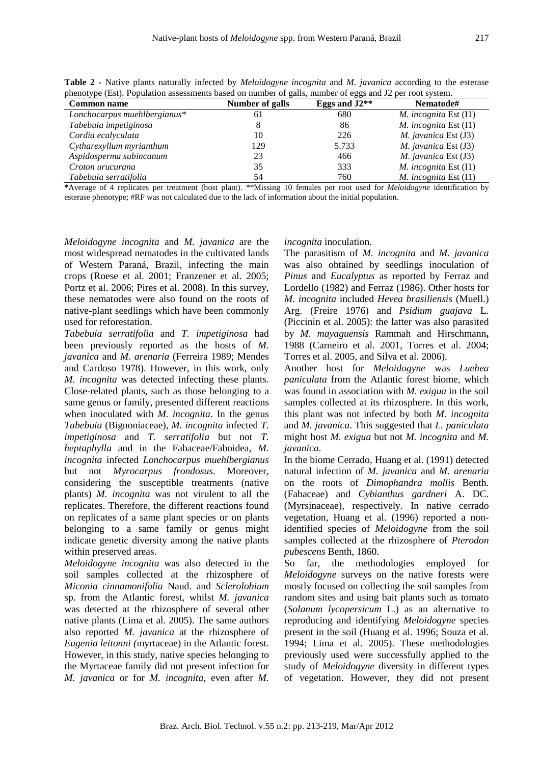| <b>Common name</b>           | Number of galls | Eggs and $J2**$ | Nematode#                 |  |
|------------------------------|-----------------|-----------------|---------------------------|--|
| Lonchocarpus muehlbergianus* | 61              | 680             | M. incognita Est (I1)     |  |
| Tabebuia impetiginosa        | 8               | 86              | M. incognita Est (I1)     |  |
| Cordia ecalyculata           | 10              | 226             | M. javanica Est (J3)      |  |
| Cytharexyllum myrianthum     | 129             | 5.733           | M. javanica Est (J3)      |  |
| Aspidosperma subincanum      | 23              | 466             | M. javanica Est (J3)      |  |
| Croton urucurana             | 35              | 333             | M. incognita Est (I1)     |  |
| Tabebuia serratifolia        | 54              | 760             | $M.$ incognita Est $(11)$ |  |

**Table 2 -** Native plants naturally infected by *Meloidogyne incognita* and *M. javanica* according to the esterase phenotype (Est). Population assessments based on number of galls, number of eggs and J2 per root s

**\***Average of 4 replicates per treatment (host plant). \*\*Missing 10 females per root used for *Meloidogyne* identification by esterase phenotype; #RF was not calculated due to the lack of information about the initial population.

*Meloidogyne incognita* and *M. javanica* are the most widespread nematodes in the cultivated lands of Western Paraná, Brazil, infecting the main crops (Roese et al. 2001; Franzener et al. 2005; Portz et al. 2006; Pires et al. 2008). In this survey, these nematodes were also found on the roots of native-plant seedlings which have been commonly used for reforestation.

*Tabebuia serratifolia* and *T. impetiginosa* had been previously reported as the hosts of *M. javanica* and *M. arenaria* (Ferreira 1989; Mendes and Cardoso 1978). However, in this work, only *M. incognita* was detected infecting these plants. Close-related plants, such as those belonging to a same genus or family, presented different reactions when inoculated with *M. incognita*. In the genus *Tabebuia* (Bignoniaceae), *M. incognita* infected *T. impetiginosa* and *T. serratifolia* but not *T. heptaphylla* and in the Fabaceae/Faboidea, *M. incognita* infected *Lonchocarpus muehlbergianus* but not *Myrocarpus frondosus*. Moreover, considering the susceptible treatments (native plants) *M. incognita* was not virulent to all the replicates. Therefore, the different reactions found on replicates of a same plant species or on plants belonging to a same family or genus might indicate genetic diversity among the native plants within preserved areas.

*Meloidogyne incognita* was also detected in the soil samples collected at the rhizosphere of *Miconia cinnamonifolia* Naud. and *Sclerolobium* sp. from the Atlantic forest, whilst *M. javanica* was detected at the rhizosphere of several other native plants (Lima et al. 2005). The same authors also reported *M. javanica* at the rhizosphere of *Eugenia leitonni (*myrtaceae) in the Atlantic forest. However, in this study, native species belonging to the Myrtaceae family did not present infection for *M. javanica* or for *M. incognita,* even after *M.* 

*incognita* inoculation.

The parasitism of *M. incognita* and *M. javanica* was also obtained by seedlings inoculation of *Pinus* and *Eucalyptus* as reported by Ferraz and Lordello (1982) and Ferraz (1986). Other hosts for *M. incognita* included *Hevea brasiliensis* (Muell.) Arg. (Freire 1976) and *Psidium guajava* L. (Piccinin et al. 2005): the latter was also parasited by *M. mayaguensis* Rammah and Hirschmann**,** 1988 (Carneiro et al. 2001, Torres et al. 2004; Torres et al. 2005, and Silva et al. 2006).

Another host for *Meloidogyne* was *Luehea paniculata* from the Atlantic forest biome, which was found in association with *M. exigua* in the soil samples collected at its rhizosphere. In this work, this plant was not infected by both *M. incognita* and *M. javanica*. This suggested that *L. paniculata*  might host *M. exigua* but not *M. incognita* and *M. javanica*.

In the biome Cerrado, Huang et al. (1991) detected natural infection of *M. javanica* and *M. arenaria*  on the roots of *Dimophandra mollis* Benth. (Fabaceae) and *Cybianthus gardneri* A. DC. (Myrsinaceae), respectively. In native cerrado vegetation, Huang et al. (1996) reported a nonidentified species of *Meloidogyne* from the soil samples collected at the rhizosphere of *Pterodon pubescens* Benth, 1860.

So far, the methodologies employed for *Meloidogyne* surveys on the native forests were mostly focused on collecting the soil samples from random sites and using bait plants such as tomato (*Solanum lycopersicum* L.) as an alternative to reproducing and identifying *Meloidogyne* species present in the soil (Huang et al. 1996; Souza et al. 1994; Lima et al. 2005). These methodologies previously used were successfully applied to the study of *Meloidogyne* diversity in different types of vegetation. However, they did not present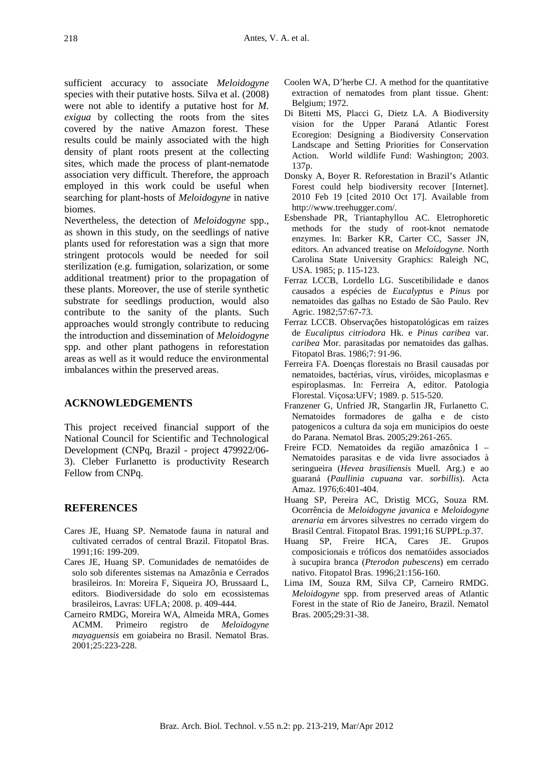sufficient accuracy to associate *Meloidogyne*  species with their putative hosts*.* Silva et al. (2008) were not able to identify a putative host for *M. exigua* by collecting the roots from the sites covered by the native Amazon forest. These results could be mainly associated with the high density of plant roots present at the collecting sites, which made the process of plant-nematode association very difficult. Therefore, the approach employed in this work could be useful when searching for plant-hosts of *Meloidogyne* in native biomes.

Nevertheless, the detection of *Meloidogyne* spp., as shown in this study, on the seedlings of native plants used for reforestation was a sign that more stringent protocols would be needed for soil sterilization (e.g. fumigation, solarization, or some additional treatment) prior to the propagation of these plants. Moreover, the use of sterile synthetic substrate for seedlings production, would also contribute to the sanity of the plants. Such approaches would strongly contribute to reducing the introduction and dissemination of *Meloidogyne*  spp. and other plant pathogens in reforestation areas as well as it would reduce the environmental imbalances within the preserved areas.

#### **ACKNOWLEDGEMENTS**

This project received financial support of the National Council for Scientific and Technological Development (CNPq, Brazil - project 479922/06- 3). Cleber Furlanetto is productivity Research Fellow from CNPq.

# **REFERENCES**

- Cares JE, Huang SP. Nematode fauna in natural and cultivated cerrados of central Brazil. Fitopatol Bras. 1991;16: 199-209.
- Cares JE, Huang SP. Comunidades de nematóides de solo sob diferentes sistemas na Amazônia e Cerrados brasileiros. In: Moreira F, Siqueira JO, Brussaard L, editors. Biodiversidade do solo em ecossistemas brasileiros, Lavras: UFLA; 2008. p. 409-444.
- Carneiro RMDG, Moreira WA, Almeida MRA, Gomes ACMM. Primeiro registro de *Meloidogyne mayaguensis* em goiabeira no Brasil. Nematol Bras. 2001;25:223-228.
- Coolen WA, D'herbe CJ. A method for the quantitative extraction of nematodes from plant tissue. Ghent: Belgium; 1972.
- Di Bitetti MS, Placci G, Dietz LA. A Biodiversity vision for the Upper Paraná Atlantic Forest Ecoregion: Designing a Biodiversity Conservation Landscape and Setting Priorities for Conservation Action. World wildlife Fund: Washington; 2003. 137p.
- Donsky A, Boyer R. Reforestation in Brazil's Atlantic Forest could help biodiversity recover [Internet]. 2010 Feb 19 [cited 2010 Oct 17]. Available from http://www.treehugger.com/.
- Esbenshade PR, Triantaphyllou AC. Eletrophoretic methods for the study of root-knot nematode enzymes. In: Barker KR, Carter CC, Sasser JN, editors. An advanced treatise on *Meloidogyne*. North Carolina State University Graphics: Raleigh NC, USA. 1985; p. 115-123.
- Ferraz LCCB, Lordello LG. Suscetibilidade e danos causados a espécies de *Eucalyptus* e *Pinus* por nematoides das galhas no Estado de São Paulo. Rev Agric. 1982;57:67-73.
- Ferraz LCCB. Observações histopatológicas em raízes de *Eucaliptus citriodora* Hk. e *Pinus caribea* var. *caribea* Mor. parasitadas por nematoides das galhas. Fitopatol Bras. 1986;7: 91-96.
- Ferreira FA. Doenças florestais no Brasil causadas por nematoides, bactérias, vírus, viróides, micoplasmas e espiroplasmas. In: Ferreira A, editor. Patologia Florestal. Viçosa:UFV; 1989. p. 515-520.
- Franzener G, Unfried JR, Stangarlin JR, Furlanetto C. Nematoides formadores de galha e de cisto patogenicos a cultura da soja em municipios do oeste do Parana. Nematol Bras. 2005;29:261-265.
- Freire FCD. Nematoides da região amazônica I Nematoides parasitas e de vida livre associados à seringueira (*Hevea brasiliensis* Muell. Arg.) e ao guaraná (*Paullinia cupuana* var. *sorbillis*). Acta Amaz. 1976;6:401-404.
- Huang SP, Pereira AC, Dristig MCG, Souza RM. Ocorrência de *Meloidogyne javanica* e *Meloidogyne arenaria* em árvores silvestres no cerrado virgem do Brasil Central. Fitopatol Bras. 1991;16 SUPPL:p.37.
- Huang SP, Freire HCA, Cares JE. Grupos composicionais e tróficos dos nematóides associados à sucupira branca (*Pterodon pubescens*) em cerrado nativo. Fitopatol Bras. 1996;21:156-160.
- Lima IM, Souza RM, Silva CP, Carneiro RMDG. *Meloidogyne* spp. from preserved areas of Atlantic Forest in the state of Rio de Janeiro, Brazil. Nematol Bras. 2005;29:31-38.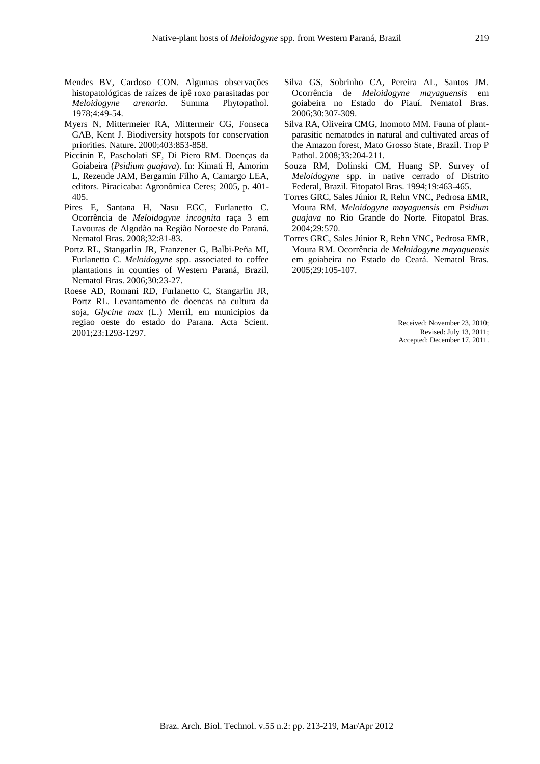Mendes BV, Cardoso CON. Algumas observações histopatológicas de raízes de ipê roxo parasitadas por

*Meloidogyne arenaria*. Summa Phytopathol. 1978;4:49-54.

- Myers N, Mittermeier RA, Mittermeir CG, Fonseca GAB, Kent J. Biodiversity hotspots for conservation priorities. Nature. 2000;403:853-858.
- Piccinin E, Pascholati SF, Di Piero RM. Doenças da Goiabeira (*Psidium guajava*). In: Kimati H, Amorim L, Rezende JAM, Bergamin Filho A, Camargo LEA, editors. Piracicaba: Agronômica Ceres; 2005, p. 401- 405.
- Pires E, Santana H, Nasu EGC, Furlanetto C. Ocorrência de *Meloidogyne incognita* raça 3 em Lavouras de Algodão na Região Noroeste do Paraná. Nematol Bras. 2008;32:81-83.
- Portz RL, Stangarlin JR, Franzener G, Balbi-Peña MI, Furlanetto C. *Meloidogyne* spp. associated to coffee plantations in counties of Western Paraná, Brazil. Nematol Bras. 2006;30:23-27.
- Roese AD, Romani RD, Furlanetto C, Stangarlin JR, Portz RL. Levantamento de doencas na cultura da soja, *Glycine max* (L.) Merril, em municipios da regiao oeste do estado do Parana. Acta Scient. 2001;23:1293-1297.
- Silva GS, Sobrinho CA, Pereira AL, Santos JM. Ocorrência de *Meloidogyne mayaguensis* em goiabeira no Estado do Piauí. Nematol Bras. 2006;30:307-309.
- Silva RA, Oliveira CMG, Inomoto MM. Fauna of plantparasitic nematodes in natural and cultivated areas of the Amazon forest, Mato Grosso State, Brazil. Trop P Pathol. 2008;33:204-211.
- Souza RM, Dolinski CM, Huang SP. Survey of *Meloidogyne* spp. in native cerrado of Distrito Federal, Brazil. Fitopatol Bras. 1994;19:463-465.
- Torres GRC, Sales Júnior R, Rehn VNC, Pedrosa EMR, Moura RM. *Meloidogyne mayaguensis* em *Psidium guajava* no Rio Grande do Norte. Fitopatol Bras. 2004;29:570.
- Torres GRC, Sales Júnior R, Rehn VNC, Pedrosa EMR, Moura RM. Ocorrência de *Meloidogyne mayaguensis*  em goiabeira no Estado do Ceará. Nematol Bras. 2005;29:105-107.

Received: November 23, 2010; Revised: July 13, 2011; Accepted: December 17, 2011.